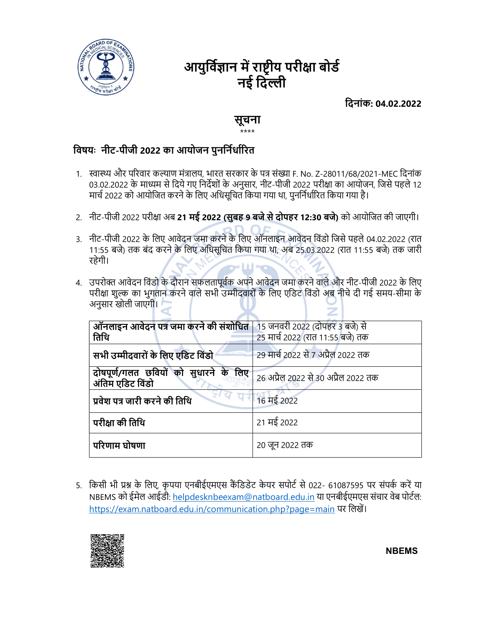

# आयुर्विज्ञान में राष्ट्रीय परीक्षा बोर्ड नई दिल्ली

िदनांक: 04.02.2022

### सूचना \*\*\*\*

## विषयः नीट-पीजी 2022 का आयोजन पुनर्निर्धारित

- 1. स्वास्थ्य और परिवार कल्याण मंत्रालय, भारत सरकार के पत्र संख्या F. No. Z-28011/68/2021-MEC दिनांक 03.02.2022 के माध्यम से दिये गए निर्देशों के अनुसार, नीट-पीजी 2022 परीक्षा का आयोजन, जिसे पहले 12 मार्च 2022 को आयोजित करने के लिए अधिसूचित किया गया था, पुनर्निर्धारित किया गया है।
- 2. नीट-पीजी 2022 परीक्षा अब 21 मई 2022 (सुबह 9 बजे से दोपहर 12:30 बजे) को आयोजित की जाएगी।
- 3. नीट-पीजी 2022 के िलए आवेदन जमा करने के िलए ऑनलाइन आवेदन िवंडो िजसे पहले 04.02.2022 (रात 11:55 बजे) तक बंद करने के िलए अिधसूिचत िकया गया था, अब 25.03.2022 (रात 11:55 बजे) तक जारी रहेगी।
- 4. उपरोक्त आवेदन विंडो के दौरान सफलतापूर्वक अपने आवेदन जमा करने वाले और नीट-पीजी 2022 के लिए परीक्षा शुल्क का भुगतान करने वाले सभी उम्मीदवारों के लिए एडिट विंडो अब नीचे दी गई समय-सीमा के अनुसार खोली जाएगी।

| ऑनलाइन आवेदन पत्र जमा करने की संशोधित   15 जनवरी 2022 (दोपहर 3 बजे) से<br>तिथि | 25 मार्च 2022 (रात 11:55 बजे) तक    |
|--------------------------------------------------------------------------------|-------------------------------------|
| सभी उम्मीदवारों के लिए एडिट विंडो                                              | 29 मार्च 2022 से 7 अप्रैल 2022 तक   |
| दोषपूर्ण/गलत छवियों को सुधारने के लिए<br>अंतिम एडिट विंडो                      | 26 अप्रैल 2022 से 30 अप्रैल 2022 तक |
| प्रवेश पत्र जारी करने की तिथि                                                  | 16 मई 2022                          |
| परीक्षा की तिथि                                                                | 21 मई 2022                          |
| परिणाम घोषणा                                                                   | 20 जून 2022 तक                      |

5. किसी भी प्रश्न के लिए, कृपया एनबीईएमएस कैंडिडेट केयर सपोर्ट से 022- 61087595 पर संपर्क करें या NBEMS को ईमेल आईडी: helpdesknbeexam@natboard.edu.in या एनबीईएमएस संचार वेब पोर्टल: https://exam.natboard.edu.in/communication.php?page=main पर लिखें।



NBEMS